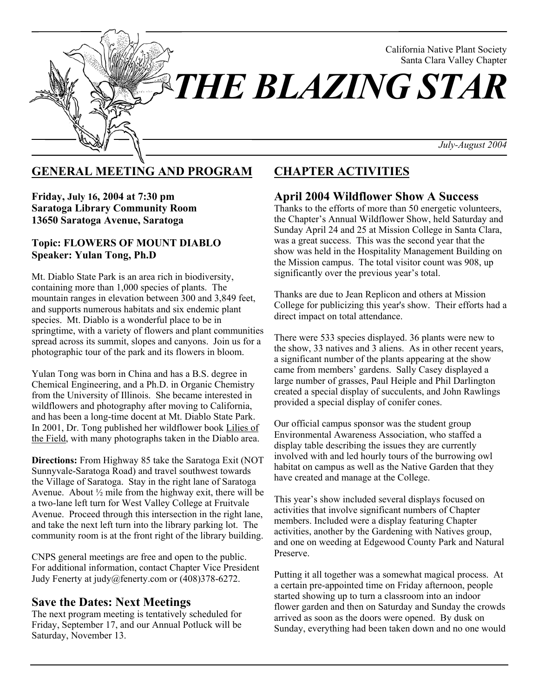

### **GENERAL MEETING AND PROGRAM**

**Friday, July 16, 2004 at 7:30 pm Saratoga Library Community Room 13650 Saratoga Avenue, Saratoga**

#### **Topic: FLOWERS OF MOUNT DIABLO Speaker: Yulan Tong, Ph.D**

Mt. Diablo State Park is an area rich in biodiversity, containing more than 1,000 species of plants. The mountain ranges in elevation between 300 and 3,849 feet, and supports numerous habitats and six endemic plant species. Mt. Diablo is a wonderful place to be in springtime, with a variety of flowers and plant communities spread across its summit, slopes and canyons. Join us for a photographic tour of the park and its flowers in bloom.

Yulan Tong was born in China and has a B.S. degree in Chemical Engineering, and a Ph.D. in Organic Chemistry from the University of Illinois. She became interested in wildflowers and photography after moving to California, and has been a long-time docent at Mt. Diablo State Park. In 2001, Dr. Tong published her wildflower book Lilies of the Field, with many photographs taken in the Diablo area.

**Directions:** From Highway 85 take the Saratoga Exit (NOT Sunnyvale-Saratoga Road) and travel southwest towards the Village of Saratoga. Stay in the right lane of Saratoga Avenue. About  $\frac{1}{2}$  mile from the highway exit, there will be a two-lane left turn for West Valley College at Fruitvale Avenue. Proceed through this intersection in the right lane, and take the next left turn into the library parking lot. The community room is at the front right of the library building.

CNPS general meetings are free and open to the public. For additional information, contact Chapter Vice President Judy Fenerty at judy@fenerty.com or (408)378-6272.

### **Save the Dates: Next Meetings**

The next program meeting is tentatively scheduled for Friday, September 17, and our Annual Potluck will be Saturday, November 13.

## **CHAPTER ACTIVITIES**

#### **April 2004 Wildflower Show A Success**

Thanks to the efforts of more than 50 energetic volunteers, the Chapter's Annual Wildflower Show, held Saturday and Sunday April 24 and 25 at Mission College in Santa Clara, was a great success. This was the second year that the show was held in the Hospitality Management Building on the Mission campus. The total visitor count was 908, up significantly over the previous year's total.

Thanks are due to Jean Replicon and others at Mission College for publicizing this year's show. Their efforts had a direct impact on total attendance.

There were 533 species displayed. 36 plants were new to the show, 33 natives and 3 aliens. As in other recent years, a significant number of the plants appearing at the show came from members' gardens. Sally Casey displayed a large number of grasses, Paul Heiple and Phil Darlington created a special display of succulents, and John Rawlings provided a special display of conifer cones.

Our official campus sponsor was the student group Environmental Awareness Association, who staffed a display table describing the issues they are currently involved with and led hourly tours of the burrowing owl habitat on campus as well as the Native Garden that they have created and manage at the College.

This year's show included several displays focused on activities that involve significant numbers of Chapter members. Included were a display featuring Chapter activities, another by the Gardening with Natives group, and one on weeding at Edgewood County Park and Natural Preserve.

Putting it all together was a somewhat magical process. At a certain pre-appointed time on Friday afternoon, people started showing up to turn a classroom into an indoor flower garden and then on Saturday and Sunday the crowds arrived as soon as the doors were opened. By dusk on Sunday, everything had been taken down and no one would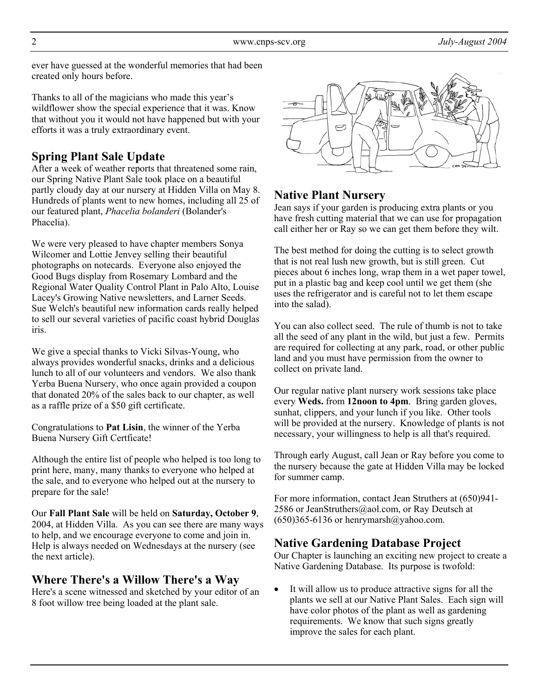ever have guessed at the wonderful memories that had been created only hours before.

Thanks to all of the magicians who made this year's wildflower show the special experience that it was. Know that without you it would not have happened but with your efforts it was a truly extraordinary event.

## **Spring Plant Sale Update**

After a week of weather reports that threatened some rain, our Spring Native Plant Sale took place on a beautiful partly cloudy day at our nursery at Hidden Villa on May 8. Hundreds of plants went to new homes, including all 25 of our featured plant, *Phacelia bolanderi* (Bolander's Phacelia).

We were very pleased to have chapter members Sonya Wilcomer and Lottie Jenvey selling their beautiful photographs on notecards. Everyone also enjoyed the Good Bugs display from Rosemary Lombard and the Regional Water Quality Control Plant in Palo Alto, Louise Lacey's Growing Native newsletters, and Larner Seeds. Sue Welch's beautiful new information cards really helped to sell our several varieties of pacific coast hybrid Douglas iris.

We give a special thanks to Vicki Silvas-Young, who always provides wonderful snacks, drinks and a delicious lunch to all of our volunteers and vendors. We also thank Yerba Buena Nursery, who once again provided a coupon that donated 20% of the sales back to our chapter, as well as a raffle prize of a \$50 gift certificate.

Congratulations to **Pat Lisin**, the winner of the Yerba Buena Nursery Gift Certficate!

Although the entire list of people who helped is too long to print here, many, many thanks to everyone who helped at the sale, and to everyone who helped out at the nursery to prepare for the sale!

Our **Fall Plant Sale** will be held on **Saturday, October 9**, 2004, at Hidden Villa. As you can see there are many ways to help, and we encourage everyone to come and join in. Help is always needed on Wednesdays at the nursery (see the next article).

### **Where There's a Willow There's a Way**

Here's a scene witnessed and sketched by your editor of an 8 foot willow tree being loaded at the plant sale.



## **Native Plant Nursery**

Jean says if your garden is producing extra plants or you have fresh cutting material that we can use for propagation call either her or Ray so we can get them before they wilt.

The best method for doing the cutting is to select growth that is not real lush new growth, but is still green. Cut pieces about 6 inches long, wrap them in a wet paper towel, put in a plastic bag and keep cool until we get them (she uses the refrigerator and is careful not to let them escape into the salad).

You can also collect seed. The rule of thumb is not to take all the seed of any plant in the wild, but just a few. Permits are required for collecting at any park, road, or other public land and you must have permission from the owner to collect on private land.

Our regular native plant nursery work sessions take place every **Weds.** from **12noon to 4pm**. Bring garden gloves, sunhat, clippers, and your lunch if you like. Other tools will be provided at the nursery. Knowledge of plants is not necessary, your willingness to help is all that's required.

Through early August, call Jean or Ray before you come to the nursery because the gate at Hidden Villa may be locked for summer camp.

For more information, contact Jean Struthers at (650)941- 2586 or JeanStruthers@aol.com, or Ray Deutsch at  $(650)365-6136$  or henrymarsh $@y$ ahoo.com.

### **Native Gardening Database Project**

Our Chapter is launching an exciting new project to create a Native Gardening Database. Its purpose is twofold:

It will allow us to produce attractive signs for all the plants we sell at our Native Plant Sales. Each sign will have color photos of the plant as well as gardening requirements. We know that such signs greatly improve the sales for each plant.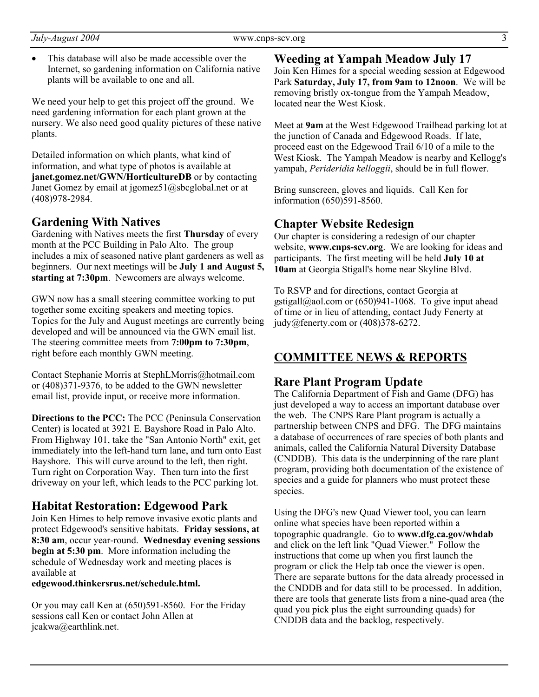• This database will also be made accessible over the Internet, so gardening information on California native plants will be available to one and all.

We need your help to get this project off the ground. We need gardening information for each plant grown at the nursery. We also need good quality pictures of these native plants.

Detailed information on which plants, what kind of information, and what type of photos is available at **janet.gomez.net/GWN/HorticultureDB** or by contacting Janet Gomez by email at jgomez51@sbcglobal.net or at (408)978-2984.

#### **Gardening With Natives**

Gardening with Natives meets the first **Thursday** of every month at the PCC Building in Palo Alto. The group includes a mix of seasoned native plant gardeners as well as beginners. Our next meetings will be **July 1 and August 5, starting at 7:30pm**. Newcomers are always welcome.

GWN now has a small steering committee working to put together some exciting speakers and meeting topics. Topics for the July and August meetings are currently being developed and will be announced via the GWN email list. The steering committee meets from **7:00pm to 7:30pm**, right before each monthly GWN meeting.

Contact Stephanie Morris at StephLMorris@hotmail.com or (408)371-9376, to be added to the GWN newsletter email list, provide input, or receive more information.

**Directions to the PCC:** The PCC (Peninsula Conservation Center) is located at 3921 E. Bayshore Road in Palo Alto. From Highway 101, take the "San Antonio North" exit, get immediately into the left-hand turn lane, and turn onto East Bayshore. This will curve around to the left, then right. Turn right on Corporation Way. Then turn into the first driveway on your left, which leads to the PCC parking lot.

#### **Habitat Restoration: Edgewood Park**

Join Ken Himes to help remove invasive exotic plants and protect Edgewood's sensitive habitats. **Friday sessions, at 8:30 am**, occur year-round. **Wednesday evening sessions begin at 5:30 pm**. More information including the schedule of Wednesday work and meeting places is available at

**edgewood.thinkersrus.net/schedule.html.**

Or you may call Ken at (650)591-8560. For the Friday sessions call Ken or contact John Allen at jcakwa@earthlink.net.

**Weeding at Yampah Meadow July 17** Join Ken Himes for a special weeding session at Edgewood Park **Saturday, July 17, from 9am to 12noon**. We will be removing bristly ox-tongue from the Yampah Meadow, located near the West Kiosk.

Meet at **9am** at the West Edgewood Trailhead parking lot at the junction of Canada and Edgewood Roads. If late, proceed east on the Edgewood Trail 6/10 of a mile to the West Kiosk. The Yampah Meadow is nearby and Kellogg's yampah, *Perideridia kelloggii*, should be in full flower.

Bring sunscreen, gloves and liquids. Call Ken for information (650)591-8560.

#### **Chapter Website Redesign**

Our chapter is considering a redesign of our chapter website, **www.cnps-scv.org**. We are looking for ideas and participants. The first meeting will be held **July 10 at 10am** at Georgia Stigall's home near Skyline Blvd.

To RSVP and for directions, contact Georgia at gstigall@aol.com or  $(650)941-1068$ . To give input ahead of time or in lieu of attending, contact Judy Fenerty at judy@fenerty.com or (408)378-6272.

### **COMMITTEE NEWS & REPORTS**

#### **Rare Plant Program Update**

The California Department of Fish and Game (DFG) has just developed a way to access an important database over the web. The CNPS Rare Plant program is actually a partnership between CNPS and DFG. The DFG maintains a database of occurrences of rare species of both plants and animals, called the California Natural Diversity Database (CNDDB). This data is the underpinning of the rare plant program, providing both documentation of the existence of species and a guide for planners who must protect these species.

Using the DFG's new Quad Viewer tool, you can learn online what species have been reported within a topographic quadrangle. Go to **www.dfg.ca.gov/whdab** and click on the left link "Quad Viewer." Follow the instructions that come up when you first launch the program or click the Help tab once the viewer is open. There are separate buttons for the data already processed in the CNDDB and for data still to be processed. In addition, there are tools that generate lists from a nine-quad area (the quad you pick plus the eight surrounding quads) for CNDDB data and the backlog, respectively.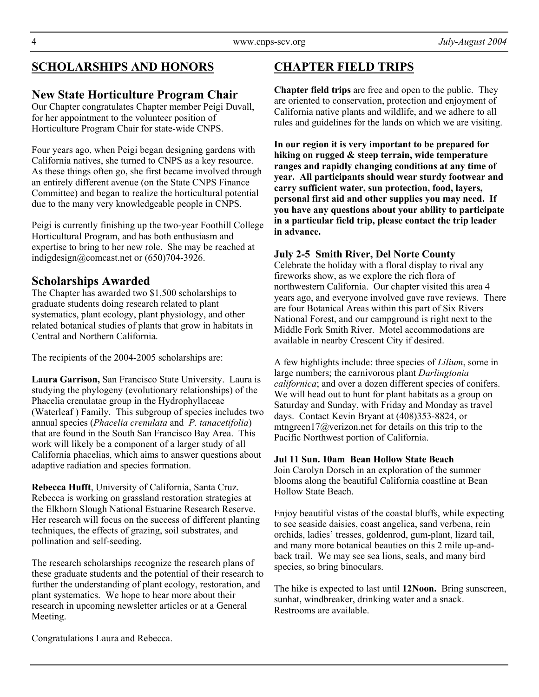# **SCHOLARSHIPS AND HONORS**

### **New State Horticulture Program Chair**

Our Chapter congratulates Chapter member Peigi Duvall, for her appointment to the volunteer position of Horticulture Program Chair for state-wide CNPS.

Four years ago, when Peigi began designing gardens with California natives, she turned to CNPS as a key resource. As these things often go, she first became involved through an entirely different avenue (on the State CNPS Finance Committee) and began to realize the horticultural potential due to the many very knowledgeable people in CNPS.

Peigi is currently finishing up the two-year Foothill College Horticultural Program, and has both enthusiasm and expertise to bring to her new role. She may be reached at indigdesign@comcast.net or (650)704-3926.

### **Scholarships Awarded**

The Chapter has awarded two \$1,500 scholarships to graduate students doing research related to plant systematics, plant ecology, plant physiology, and other related botanical studies of plants that grow in habitats in Central and Northern California.

The recipients of the 2004-2005 scholarships are:

**Laura Garrison,** San Francisco State University. Laura is studying the phylogeny (evolutionary relationships) of the Phacelia crenulatae group in the Hydrophyllaceae (Waterleaf ) Family. This subgroup of species includes two annual species (*Phacelia crenulata* and *P. tanacetifolia*) that are found in the South San Francisco Bay Area. This work will likely be a component of a larger study of all California phacelias, which aims to answer questions about adaptive radiation and species formation.

**Rebecca Hufft**, University of California, Santa Cruz. Rebecca is working on grassland restoration strategies at the Elkhorn Slough National Estuarine Research Reserve. Her research will focus on the success of different planting techniques, the effects of grazing, soil substrates, and pollination and self-seeding.

The research scholarships recognize the research plans of these graduate students and the potential of their research to further the understanding of plant ecology, restoration, and plant systematics. We hope to hear more about their research in upcoming newsletter articles or at a General Meeting.

# **CHAPTER FIELD TRIPS**

**Chapter field trips** are free and open to the public. They are oriented to conservation, protection and enjoyment of California native plants and wildlife, and we adhere to all rules and guidelines for the lands on which we are visiting.

**In our region it is very important to be prepared for hiking on rugged & steep terrain, wide temperature ranges and rapidly changing conditions at any time of year. All participants should wear sturdy footwear and carry sufficient water, sun protection, food, layers, personal first aid and other supplies you may need. If you have any questions about your ability to participate in a particular field trip, please contact the trip leader in advance.**

### **July 2-5 Smith River, Del Norte County**

Celebrate the holiday with a floral display to rival any fireworks show, as we explore the rich flora of northwestern California. Our chapter visited this area 4 years ago, and everyone involved gave rave reviews. There are four Botanical Areas within this part of Six Rivers National Forest, and our campground is right next to the Middle Fork Smith River. Motel accommodations are available in nearby Crescent City if desired.

A few highlights include: three species of *Lilium*, some in large numbers; the carnivorous plant *Darlingtonia californica*; and over a dozen different species of conifers. We will head out to hunt for plant habitats as a group on Saturday and Sunday, with Friday and Monday as travel days. Contact Kevin Bryant at (408)353-8824, or mtngreen17@verizon.net for details on this trip to the Pacific Northwest portion of California.

#### **Jul 11 Sun. 10am Bean Hollow State Beach**

Join Carolyn Dorsch in an exploration of the summer blooms along the beautiful California coastline at Bean Hollow State Beach.

Enjoy beautiful vistas of the coastal bluffs, while expecting to see seaside daisies, coast angelica, sand verbena, rein orchids, ladies' tresses, goldenrod, gum-plant, lizard tail, and many more botanical beauties on this 2 mile up-andback trail. We may see sea lions, seals, and many bird species, so bring binoculars.

The hike is expected to last until **12Noon.** Bring sunscreen, sunhat, windbreaker, drinking water and a snack. Restrooms are available.

Congratulations Laura and Rebecca.